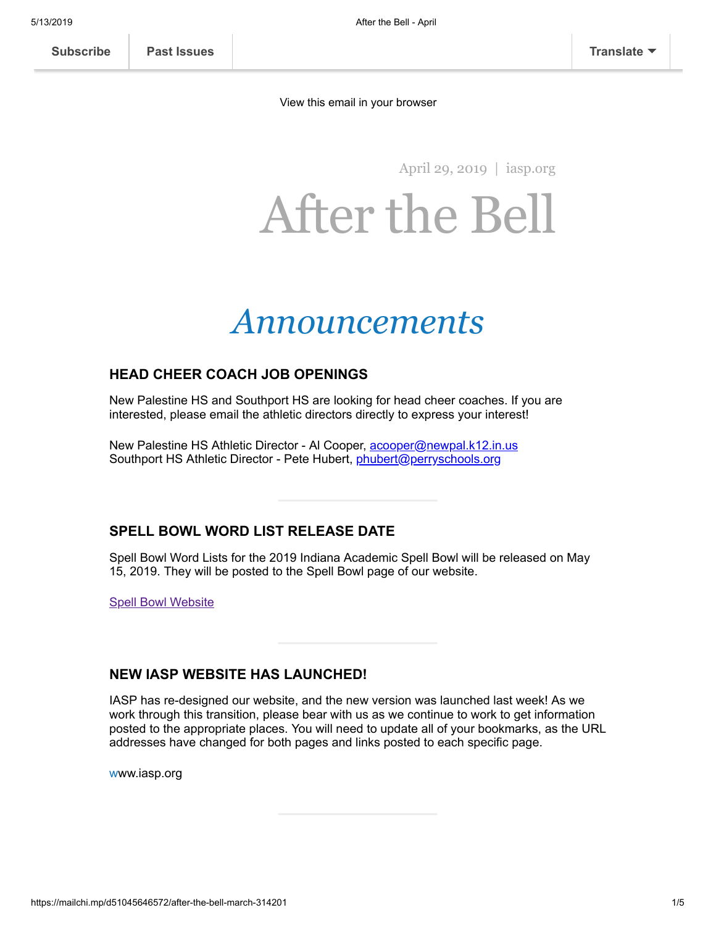[View this email in your browser](https://mailchi.mp/d51045646572/after-the-bell-march-314201?e=[UNIQID])

April 29, 2019 | [iasp.org](http://www.iasp.org/)

# After the Bell

## *Announcements*

#### **HEAD CHEER COACH JOB OPENINGS**

New Palestine HS and Southport HS are looking for head cheer coaches. If you are interested, please email the athletic directors directly to express your interest!

New Palestine HS Athletic Director - Al Cooper, [acooper@newpal.k12.in.us](mailto:acooper@newpal.k12.in.us?subject=New%20Palestine%20HS%20Cheer%20Coach%20Position) Southport HS Athletic Director - Pete Hubert, *[phubert@perryschools.org](mailto:phubert@perryschools.org?subject=Southport%20HS%20Cheer%20Coach%20Position)* 

#### **SPELL BOWL WORD LIST RELEASE DATE**

Spell Bowl Word Lists for the 2019 Indiana Academic Spell Bowl will be released on May 15, 2019. They will be posted to the Spell Bowl page of our website.

**[Spell Bowl Website](http://www.iasp.org/students/academic-spell-bowl/)** 

#### **NEW IASP WEBSITE HAS LAUNCHED!**

IASP has re-designed our website, and the new version was launched last week! As we work through this transition, please bear with us as we continue to work to get information posted to the appropriate places. You will need to update all of your bookmarks, as the URL addresses have changed for both pages and links posted to each specific page.

www.iasp.org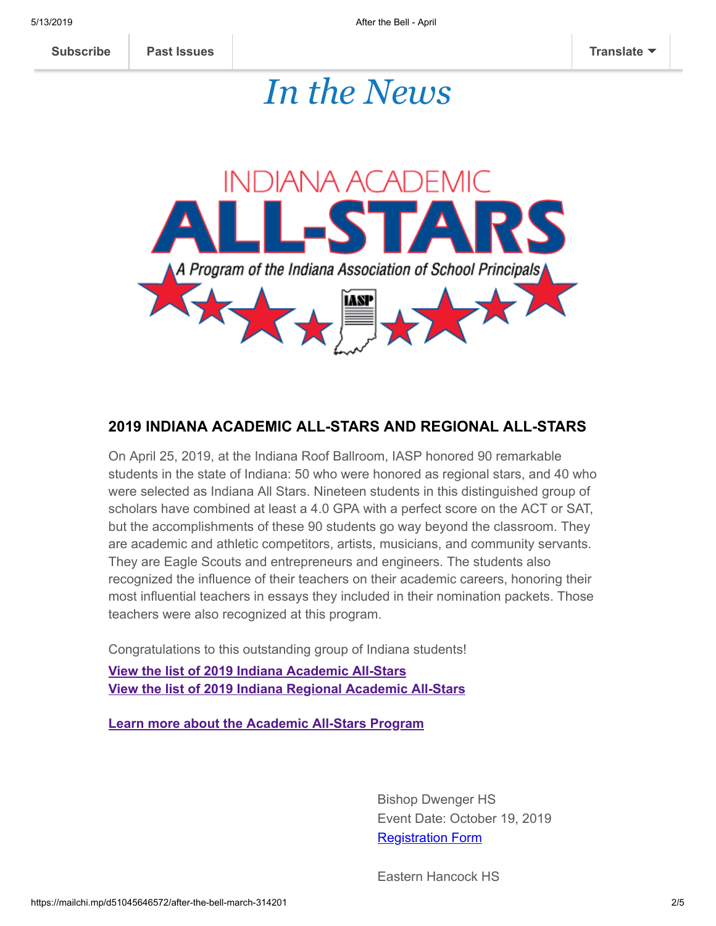### *In the News*



#### **2019 INDIANA ACADEMIC ALL-STARS AND REGIONAL ALL-STARS**

On April 25, 2019, at the Indiana Roof Ballroom, IASP honored 90 remarkable students in the state of Indiana: 50 who were honored as regional stars, and 40 who were selected as Indiana All Stars. Nineteen students in this distinguished group of scholars have combined at least a 4.0 GPA with a perfect score on the ACT or SAT, but the accomplishments of these 90 students go way beyond the classroom. They are academic and athletic competitors, artists, musicians, and community servants. They are Eagle Scouts and entrepreneurs and engineers. The students also recognized the influence of their teachers on their academic careers, honoring their most influential teachers in essays they included in their nomination packets. Those teachers were also recognized at this program.

Congratulations to this outstanding group of Indiana students!

**[View the list of 2019 Indiana Academic All-Stars](http://www.iasp.org/wp-content/uploads/2019/04/2019indianaacademicallstars.pdf) [View the list of 2019 Indiana Regional Academic All-Stars](http://www.iasp.org/wp-content/uploads/2019/04/2019regionalacademicallstars.pdf)**

**[Learn more about the Academic All-Stars Program](http://www.iasp.org/students/academic-all-stars/)**

Bishop Dwenger HS Event Date: October 19, 2019 [Registration Form](https://gallery.mailchimp.com/c5681cd14a6e3bd00b60efb03/files/3e767200-47ab-4d35-a63a-4b1c619ac2a4/BishopDwengerHS_CheerInvitational2019.pdf)

Eastern Hancock HS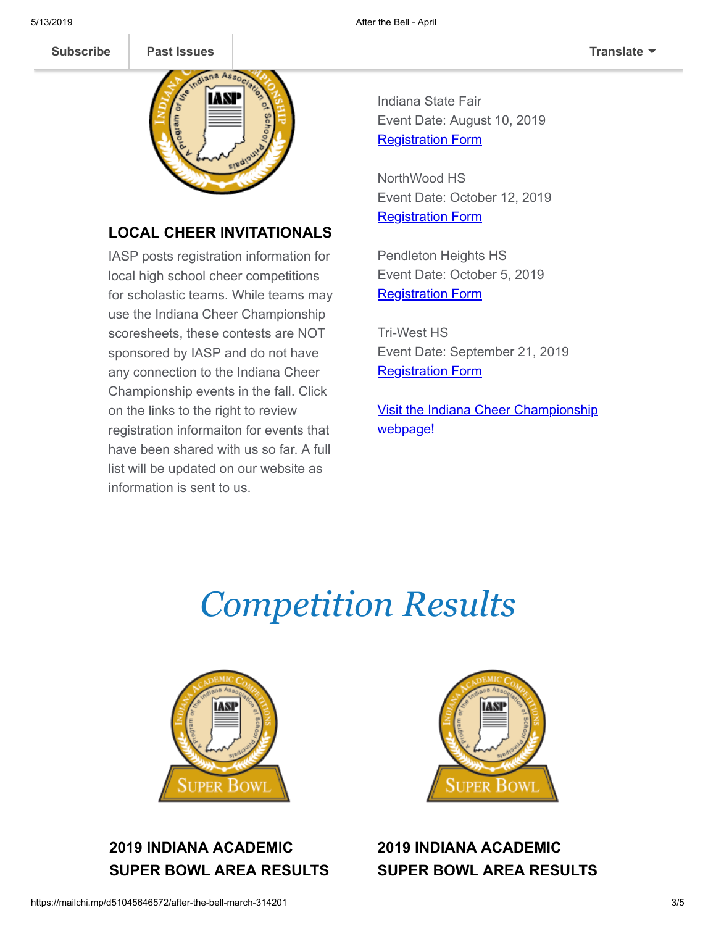**[Subscribe](http://eepurl.com/gjPxTH) [Past Issues](https://us19.campaign-archive.com/home/?u=c5681cd14a6e3bd00b60efb03&id=11aebef515) [Translate](javascript:;)**



### **LOCAL CHEER INVITATIONALS**

IASP posts registration information for local high school cheer competitions for scholastic teams. While teams may use the Indiana Cheer Championship scoresheets, these contests are NOT sponsored by IASP and do not have any connection to the Indiana Cheer Championship events in the fall. Click on the links to the right to review registration informaiton for events that have been shared with us so far. A full list will be updated on our website as information is sent to us.

Indiana State Fair Event Date: August 10, 2019 **[Registration Form](https://www.indianastatefair.com/state-fair/competitionscontests/competitive-events/)** 

NorthWood HS Event Date: October 12, 2019 **[Registration Form](https://gallery.mailchimp.com/c5681cd14a6e3bd00b60efb03/files/244b9080-a7e6-4a19-820c-7a3eedc70d0d/NorthWoodHS_CheerInvitational2019.pdf)** 

Pendleton Heights HS Event Date: October 5, 2019 **[Registration Form](https://gallery.mailchimp.com/c5681cd14a6e3bd00b60efb03/files/259bae70-07f3-46b1-b86a-8e20c58d920a/PendletonHeightsHS_CheerInvitational2019.pdf)** 

Tri-West HS Event Date: September 21, 2019 **[Registration Form](https://gallery.mailchimp.com/c5681cd14a6e3bd00b60efb03/files/418eb9a8-e429-4bd3-b97f-2a559a29bc28/TriWestHS_CheerInvitational2019.pdf)** 

**[Visit the Indiana Cheer Championship](http://www.iasp.org/cheer)** webpage!

## *Competition Results*



### **2019 INDIANA ACADEMIC SUPER BOWL AREA RESULTS**



**2019 INDIANA ACADEMIC SUPER BOWL AREA RESULTS**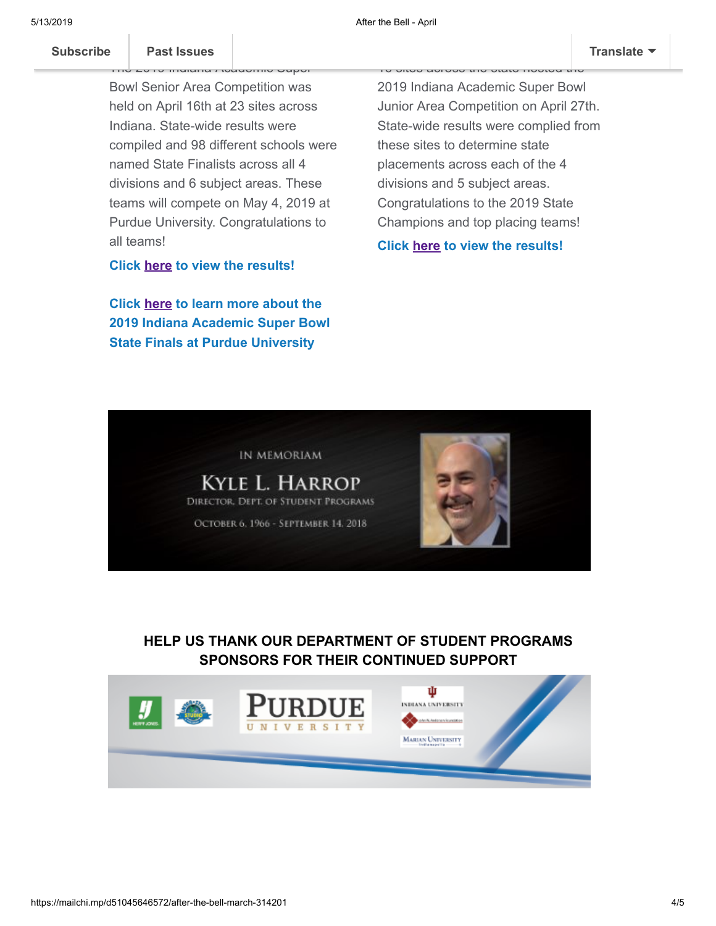#### **Subscribe Past Issues [Subscribe](http://eepurl.com/gjPxTH) Past Issues [Translate](javascript:;)**

U Indiana Academic Bowl Senior Area Competition was held on April 16th at 23 sites across Indiana. State-wide results were compiled and 98 different schools were named State Finalists across all 4 divisions and 6 subject areas. These teams will compete on May 4, 2019 at Purdue University. Congratulations to all teams!

**Click [here](http://www.iasp.org/wp-content/uploads/2019/04/seniorsuperareafullresults.pdf) to view the results!**

**Click [here](http://www.iasp.org/wp-content/uploads/2019/04/superstatefinalsinfo.pdf) to learn more about the 2019 Indiana Academic Super Bowl State Finals at Purdue University**

2019 Indiana Academic Super Bowl Junior Area Competition on April 27th. State-wide results were complied from these sites to determine state placements across each of the 4 divisions and 5 subject areas. Congratulations to the 2019 State Champions and top placing teams!

16 sites across the state hosted the

**Click [here](http://www.iasp.org/wp-content/uploads/2019/04/juniorsuperareafullresults.pdf) to view the results!**



**HELP US THANK OUR DEPARTMENT OF STUDENT PROGRAMS SPONSORS FOR THEIR CONTINUED SUPPORT**